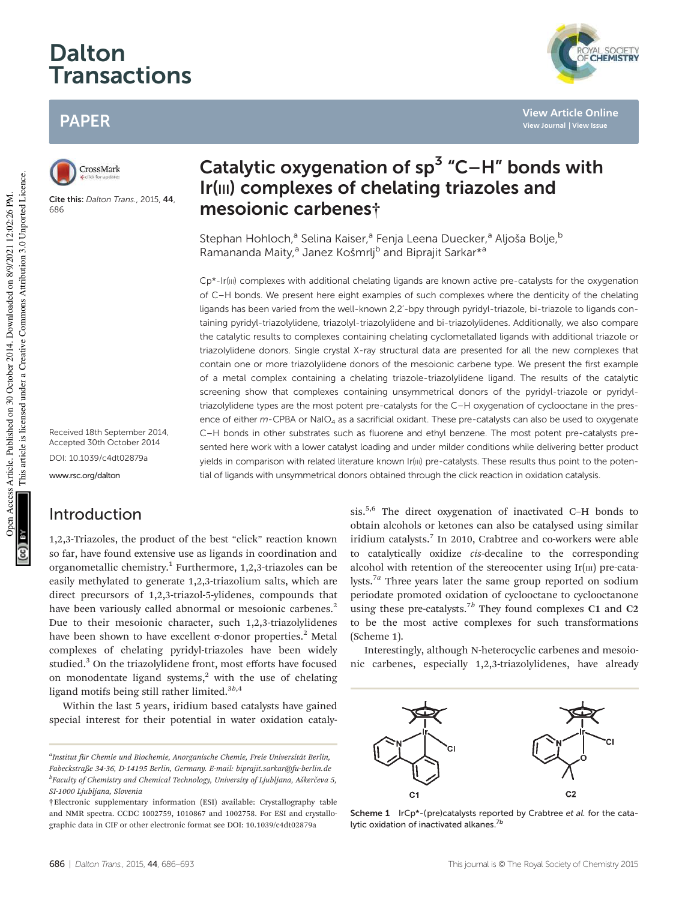# Dalton **Transactions**

# PAPER



Cite this: Dalton Trans., 2015, 44, 686

Received 18th September 2014, Accepted 30th October 2014 DOI: 10.1039/c4dt02879a

www.rsc.org/dalton

# Introduction

1,2,3-Triazoles, the product of the best "click" reaction known so far, have found extensive use as ligands in coordination and organometallic chemistry.<sup>1</sup> Furthermore, 1,2,3-triazoles can be easily methylated to generate 1,2,3-triazolium salts, which are direct precursors of 1,2,3-triazol-5-ylidenes, compounds that have been variously called abnormal or mesoionic carbenes.<sup>2</sup> Due to their mesoionic character, such 1,2,3-triazolylidenes have been shown to have excellent σ-donor properties.<sup>2</sup> Metal complexes of chelating pyridyl-triazoles have been widely studied.<sup>3</sup> On the triazolylidene front, most efforts have focused on monodentate ligand systems,<sup>2</sup> with the use of chelating ligand motifs being still rather limited.<sup>3b,4</sup>

Within the last 5 years, iridium based catalysts have gained special interest for their potential in water oxidation cataly-

# Catalytic oxygenation of  $sp^3$  "C-H" bonds with Ir(III) complexes of chelating triazoles and mesoionic carbenes†

Stephan Hohloch,<sup>a</sup> Selina Kaiser,<sup>a</sup> Fenja Leena Duecker,<sup>a</sup> Aljoša Bolje,<sup>b</sup> Ramananda Maity,<sup>a</sup> Janez Košmrlj<sup>b</sup> and Biprajit Sarkar<sup>\*a</sup>

Cp\*-Ir(III) complexes with additional chelating ligands are known active pre-catalysts for the oxygenation of C–H bonds. We present here eight examples of such complexes where the denticity of the chelating ligands has been varied from the well-known 2,2'-bpy through pyridyl-triazole, bi-triazole to ligands containing pyridyl-triazolylidene, triazolyl-triazolylidene and bi-triazolylidenes. Additionally, we also compare the catalytic results to complexes containing chelating cyclometallated ligands with additional triazole or triazolylidene donors. Single crystal X-ray structural data are presented for all the new complexes that contain one or more triazolylidene donors of the mesoionic carbene type. We present the first example of a metal complex containing a chelating triazole-triazolylidene ligand. The results of the catalytic screening show that complexes containing unsymmetrical donors of the pyridyl-triazole or pyridyltriazolylidene types are the most potent pre-catalysts for the C–H oxygenation of cyclooctane in the presence of either  $m$ -CPBA or NaIO<sub>4</sub> as a sacrificial oxidant. These pre-catalysts can also be used to oxygenate C–H bonds in other substrates such as fluorene and ethyl benzene. The most potent pre-catalysts presented here work with a lower catalyst loading and under milder conditions while delivering better product yields in comparison with related literature known Ir(III) pre-catalysts. These results thus point to the potential of ligands with unsymmetrical donors obtained through the click reaction in oxidation catalysis.

> sis.5,6 The direct oxygenation of inactivated C–H bonds to obtain alcohols or ketones can also be catalysed using similar iridium catalysts.<sup>7</sup> In 2010, Crabtree and co-workers were able to catalytically oxidize cis-decaline to the corresponding alcohol with retention of the stereocenter using  $Ir(III)$  pre-catalysts.<sup>7a</sup> Three years later the same group reported on sodium periodate promoted oxidation of cyclooctane to cyclooctanone using these pre-catalysts.<sup>7b</sup> They found complexes C1 and C2 to be the most active complexes for such transformations (Scheme 1).

> Interestingly, although N-heterocyclic carbenes and mesoionic carbenes, especially 1,2,3-triazolylidenes, have already



Scheme 1 IrCp\*-(pre)catalysts reported by Crabtree et al. for the catalytic oxidation of inactivated alkanes.<sup>7b</sup>



**View Article Online View Journal | View Issue**

<sup>&</sup>lt;sup>a</sup>Institut für Chemie und Biochemie, Anorganische Chemie, Freie Universität Berlin, Fabeckstraße 34-36, D-14195 Berlin, Germany. E-mail: biprajit.sarkar@fu-berlin.de <sup>b</sup>Faculty of Chemistry and Chemical Technology, University of Ljubljana, Aškerčeva 5, SI-1000 Liubliana, Slovenia

<sup>†</sup>Electronic supplementary information (ESI) available: Crystallography table and NMR spectra. CCDC 1002759, 1010867 and 1002758. For ESI and crystallographic data in CIF or other electronic format see DOI: 10.1039/c4dt02879a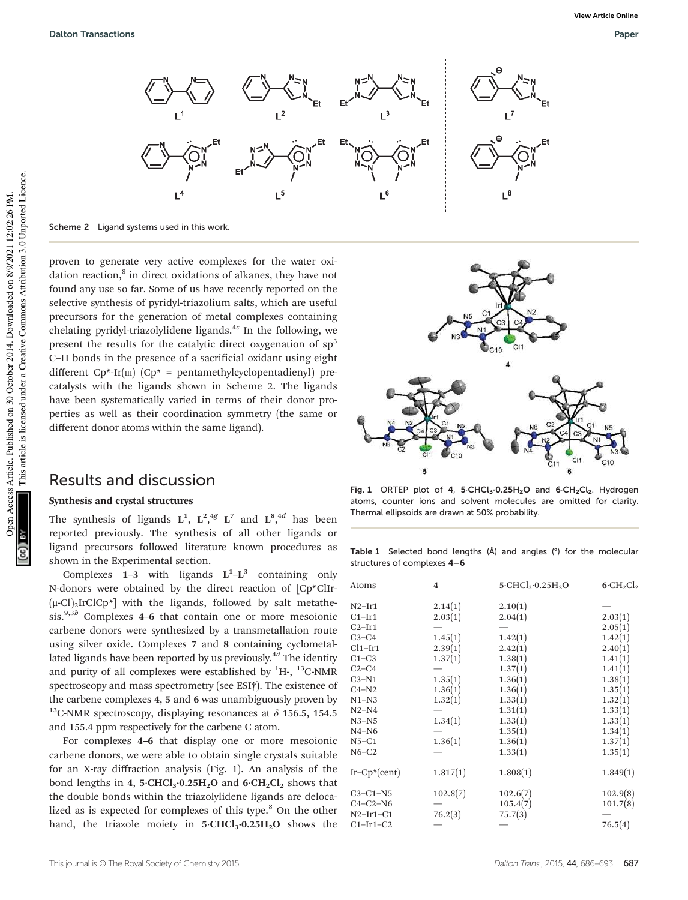

Scheme 2 Ligand systems used in this work.

proven to generate very active complexes for the water oxidation reaction,<sup>8</sup> in direct oxidations of alkanes, they have not found any use so far. Some of us have recently reported on the selective synthesis of pyridyl-triazolium salts, which are useful precursors for the generation of metal complexes containing chelating pyridyl-triazolylidene ligands. $4c$  In the following, we present the results for the catalytic direct oxygenation of  $sp<sup>3</sup>$ C–H bonds in the presence of a sacrificial oxidant using eight different  $Cp^*$ -Ir $(m)$   $(Cp^* =$  pentamethylcyclopentadienyl) precatalysts with the ligands shown in Scheme 2. The ligands have been systematically varied in terms of their donor properties as well as their coordination symmetry (the same or different donor atoms within the same ligand).

### Results and discussion

### Synthesis and crystal structures

The synthesis of ligands  $L^1$ ,  $L^2$ ,  $4g$   $L^7$  and  $L^8$ ,  $4d$  has been reported previously. The synthesis of all other ligands or ligand precursors followed literature known procedures as shown in the Experimental section.

Complexes  $1-3$  with ligands  $L^1-L^3$  containing only N-donors were obtained by the direct reaction of [Cp\*ClIr-  $(\mu\text{-}Cl)_2$ IrClCp<sup>\*</sup>] with the ligands, followed by salt metathesis.<sup>9,3b</sup> Complexes 4–6 that contain one or more mesoionic carbene donors were synthesized by a transmetallation route using silver oxide. Complexes 7 and 8 containing cyclometallated ligands have been reported by us previously.<sup>4d</sup> The identity and purity of all complexes were established by  ${}^{1}$ H-,  ${}^{13}$ C-NMR spectroscopy and mass spectrometry (see ESI†). The existence of the carbene complexes 4, 5 and 6 was unambiguously proven by <sup>13</sup>C-NMR spectroscopy, displaying resonances at  $\delta$  156.5, 154.5 and 155.4 ppm respectively for the carbene C atom.

For complexes 4–6 that display one or more mesoionic carbene donors, we were able to obtain single crystals suitable for an X-ray diffraction analysis (Fig. 1). An analysis of the bond lengths in 4, 5 $\cdot$ CHCl<sub>3</sub> $\cdot$ 0.25H<sub>2</sub>O and 6 $\cdot$ CH<sub>2</sub>Cl<sub>2</sub> shows that the double bonds within the triazolylidene ligands are delocalized as is expected for complexes of this type.<sup>8</sup> On the other hand, the triazole moiety in  $5 \cdot CHCl_3 \cdot 0.25H_2O$  shows the



Fig. 1 ORTEP plot of 4, 5 CHCl<sub>3</sub>·0.25H<sub>2</sub>O and 6·CH<sub>2</sub>Cl<sub>2</sub>. Hydrogen atoms, counter ions and solvent molecules are omitted for clarity. Thermal ellipsoids are drawn at 50% probability.

Table 1 Selected bond lengths (Å) and angles (°) for the molecular structures of complexes 4–6

| $\boldsymbol{4}$ | $5$ ·CHCl <sub>3</sub> ·0.25H <sub>2</sub> O | $6 \cdot CH_2Cl_2$                       |
|------------------|----------------------------------------------|------------------------------------------|
|                  |                                              |                                          |
|                  |                                              | 2.03(1)                                  |
|                  |                                              | 2.05(1)                                  |
|                  |                                              | 1.42(1)                                  |
| 2.39(1)          |                                              | 2.40(1)                                  |
| 1.37(1)          | 1.38(1)                                      | 1.41(1)                                  |
|                  | 1.37(1)                                      | 1.41(1)                                  |
|                  | 1.36(1)                                      | 1.38(1)                                  |
| 1.36(1)          | 1.36(1)                                      | 1.35(1)                                  |
| 1.32(1)          | 1.33(1)                                      | 1.32(1)                                  |
|                  | 1.31(1)                                      | 1.33(1)                                  |
| 1.34(1)          | 1.33(1)                                      | 1.33(1)                                  |
|                  | 1.35(1)                                      | 1.34(1)                                  |
| 1.36(1)          | 1.36(1)                                      | 1.37(1)                                  |
|                  | 1.33(1)                                      | 1.35(1)                                  |
| 1.817(1)         | 1.808(1)                                     | 1.849(1)                                 |
| 102.8(7)         | 102.6(7)                                     | 102.9(8)                                 |
|                  | 105.4(7)                                     | 101.7(8)                                 |
| 76.2(3)          | 75.7(3)                                      |                                          |
|                  |                                              | 76.5(4)                                  |
|                  | 2.14(1)<br>2.03(1)<br>1.45(1)<br>1.35(1)     | 2.10(1)<br>2.04(1)<br>1.42(1)<br>2.42(1) |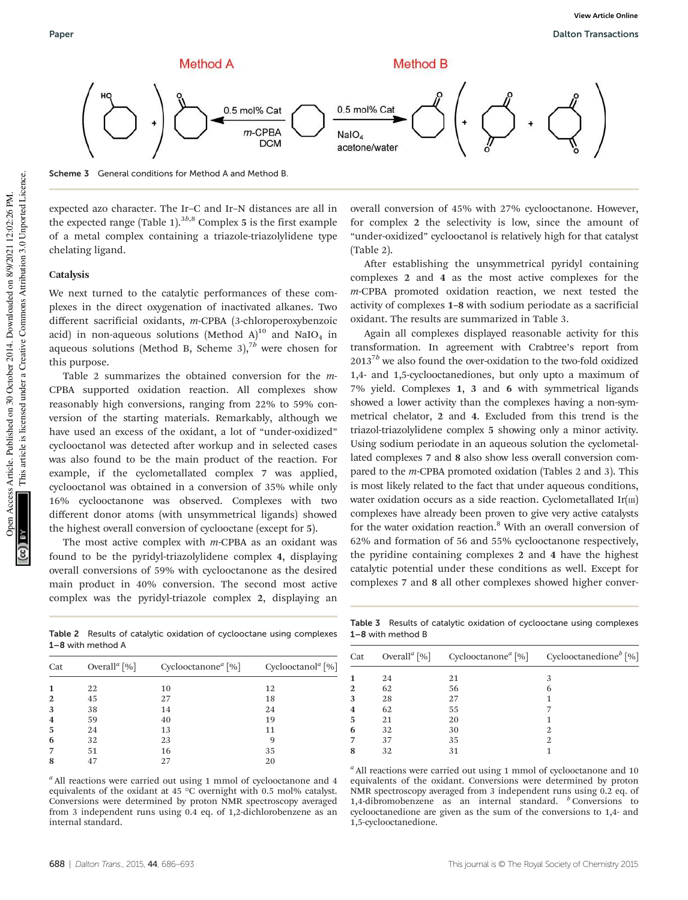

Scheme 3 General conditions for Method A and Method B.

expected azo character. The Ir–C and Ir–N distances are all in the expected range (Table 1). $3b,8$  Complex 5 is the first example of a metal complex containing a triazole-triazolylidene type chelating ligand.

#### **Catalysis**

We next turned to the catalytic performances of these complexes in the direct oxygenation of inactivated alkanes. Two different sacrificial oxidants, m-CPBA (3-chloroperoxybenzoic acid) in non-aqueous solutions (Method A) $^{10}$  and NaIO<sub>4</sub> in aqueous solutions (Method B, Scheme 3),<sup>7b</sup> were chosen for this purpose.

Table 2 summarizes the obtained conversion for the m-CPBA supported oxidation reaction. All complexes show reasonably high conversions, ranging from 22% to 59% conversion of the starting materials. Remarkably, although we have used an excess of the oxidant, a lot of "under-oxidized" cyclooctanol was detected after workup and in selected cases was also found to be the main product of the reaction. For example, if the cyclometallated complex 7 was applied, cyclooctanol was obtained in a conversion of 35% while only 16% cyclooctanone was observed. Complexes with two different donor atoms (with unsymmetrical ligands) showed the highest overall conversion of cyclooctane (except for 5).

The most active complex with  $m$ -CPBA as an oxidant was found to be the pyridyl-triazolylidene complex 4, displaying overall conversions of 59% with cyclooctanone as the desired main product in 40% conversion. The second most active complex was the pyridyl-triazole complex 2, displaying an overall conversion of 45% with 27% cyclooctanone. However, for complex 2 the selectivity is low, since the amount of "under-oxidized" cyclooctanol is relatively high for that catalyst (Table 2).

After establishing the unsymmetrical pyridyl containing complexes 2 and 4 as the most active complexes for the m-CPBA promoted oxidation reaction, we next tested the activity of complexes 1–8 with sodium periodate as a sacrificial oxidant. The results are summarized in Table 3.

Again all complexes displayed reasonable activity for this transformation. In agreement with Crabtree's report from  $2013^{7b}$  we also found the over-oxidation to the two-fold oxidized 1,4- and 1,5-cyclooctanediones, but only upto a maximum of 7% yield. Complexes 1, 3 and 6 with symmetrical ligands showed a lower activity than the complexes having a non-symmetrical chelator, 2 and 4. Excluded from this trend is the triazol-triazolylidene complex 5 showing only a minor activity. Using sodium periodate in an aqueous solution the cyclometallated complexes 7 and 8 also show less overall conversion compared to the m-CPBA promoted oxidation (Tables 2 and 3). This is most likely related to the fact that under aqueous conditions, water oxidation occurs as a side reaction. Cyclometallated  $Ir(m)$ complexes have already been proven to give very active catalysts for the water oxidation reaction.<sup>8</sup> With an overall conversion of 62% and formation of 56 and 55% cyclooctanone respectively, the pyridine containing complexes 2 and 4 have the highest catalytic potential under these conditions as well. Except for complexes 7 and 8 all other complexes showed higher conver-

Table 3 Results of catalytic oxidation of cyclooctane using complexes 1–8 with method B

| Cat |    |    | Overall <sup>a</sup> [%] Cyclooctanone <sup>a</sup> [%] Cyclooctanedione <sup>b</sup> [%] |
|-----|----|----|-------------------------------------------------------------------------------------------|
|     | 24 | 21 | 3                                                                                         |
| 2   | 62 | 56 | 6                                                                                         |
| 3   | 28 | 27 |                                                                                           |
| 4   | 62 | 55 |                                                                                           |
| 5   | 21 | 20 |                                                                                           |
| 6   | 32 | 30 | 2                                                                                         |
|     | 37 | 35 | 2                                                                                         |
| 8   | 32 | 31 |                                                                                           |

 $a$  All reactions were carried out using 1 mmol of cyclooctanone and 10 equivalents of the oxidant. Conversions were determined by proton NMR spectroscopy averaged from 3 independent runs using 0.2 eq. of 1,4-dibromobenzene as an internal standard.  $\overset{b}{\sim}$  Conversions to cyclooctanedione are given as the sum of the conversions to 1,4- and 1,5-cyclooctanedione.

Table 2 Results of catalytic oxidation of cyclooctane using complexes 1–8 with method A

| Cat            | Overall <sup><i>a</i></sup> [%] | Cyclooctanone <sup><i>a</i></sup> [%] | Cyclooctanol <sup><math>a</math></sup> [%] |
|----------------|---------------------------------|---------------------------------------|--------------------------------------------|
| 1              | 22                              | 10                                    | 12                                         |
| 2              | 45                              | 27                                    | 18                                         |
| 3              | 38                              | 14                                    | 24                                         |
| $\overline{4}$ | 59                              | 40                                    | 19                                         |
| 5              | 24                              | 13                                    | 11                                         |
| 6              | 32                              | 23                                    |                                            |
| 7              | 51                              | 16                                    | 35                                         |
| 8              | 47                              | 27                                    | 20                                         |
|                |                                 |                                       |                                            |

 $a<sup>a</sup>$  All reactions were carried out using 1 mmol of cyclooctanone and 4 equivalents of the oxidant at 45 °C overnight with 0.5 mol% catalyst. Conversions were determined by proton NMR spectroscopy averaged from 3 independent runs using 0.4 eq. of 1,2-dichlorobenzene as an internal standard.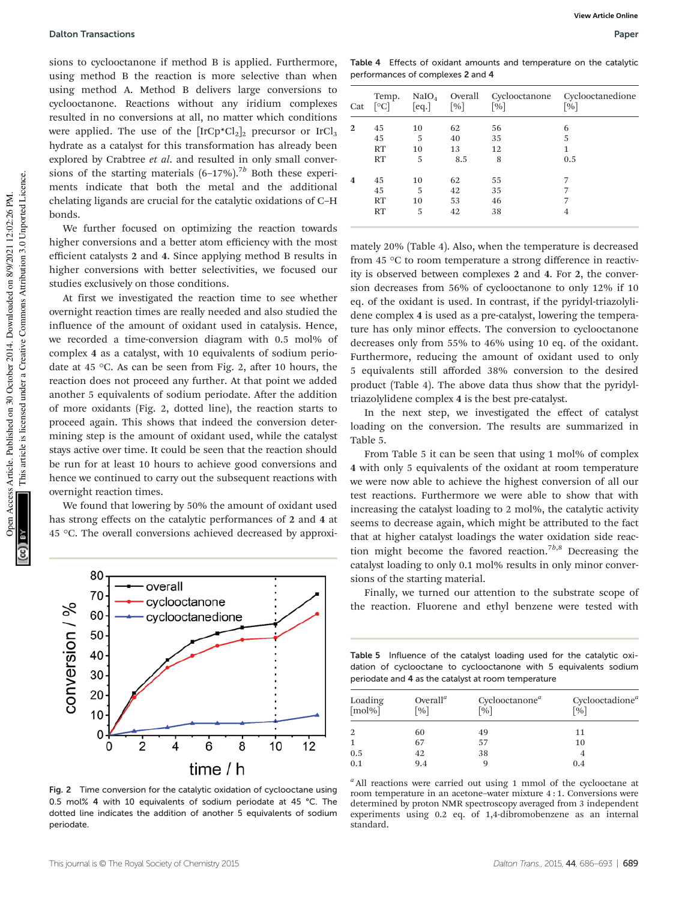Open Access Article. Published on 30 October 2014. Downloaded on 8/9/2021 12:02:26 PM.

Open

Access Article. Published on 30 October 2014. Downloaded on 8/9/2021 12:02:26 PM.

This article is licensed under a Creative Commons Attribution 3.0 Unported Licence.

This article is licensed under a Creative Commons Attribution 3.0 Unported Licence.

sions to cyclooctanone if method B is applied. Furthermore, using method B the reaction is more selective than when using method A. Method B delivers large conversions to cyclooctanone. Reactions without any iridium complexes resulted in no conversions at all, no matter which conditions were applied. The use of the  $[IrCp*Cl_2]_2$  precursor or  $IrCl_3$ hydrate as a catalyst for this transformation has already been explored by Crabtree et al. and resulted in only small conversions of the starting materials  $(6-17%)$ .<sup>7b</sup> Both these experiments indicate that both the metal and the additional chelating ligands are crucial for the catalytic oxidations of C–H bonds.

We further focused on optimizing the reaction towards higher conversions and a better atom efficiency with the most efficient catalysts 2 and 4. Since applying method B results in higher conversions with better selectivities, we focused our studies exclusively on those conditions.

At first we investigated the reaction time to see whether overnight reaction times are really needed and also studied the influence of the amount of oxidant used in catalysis. Hence, we recorded a time-conversion diagram with 0.5 mol% of complex 4 as a catalyst, with 10 equivalents of sodium periodate at 45 °C. As can be seen from Fig. 2, after 10 hours, the reaction does not proceed any further. At that point we added another 5 equivalents of sodium periodate. After the addition of more oxidants (Fig. 2, dotted line), the reaction starts to proceed again. This shows that indeed the conversion determining step is the amount of oxidant used, while the catalyst stays active over time. It could be seen that the reaction should be run for at least 10 hours to achieve good conversions and hence we continued to carry out the subsequent reactions with overnight reaction times.

We found that lowering by 50% the amount of oxidant used has strong effects on the catalytic performances of 2 and 4 at 45 °C. The overall conversions achieved decreased by approxi-



Fig. 2 Time conversion for the catalytic oxidation of cyclooctane using 0.5 mol% 4 with 10 equivalents of sodium periodate at 45 °C. The dotted line indicates the addition of another 5 equivalents of sodium periodate.

Table 4 Effects of oxidant amounts and temperature on the catalytic performances of complexes 2 and 4

| Cat            | Temp.<br>$\lceil \circ \text{C} \rceil$ | [eq.]              | $NaIO4$ Overall<br>$\lceil \frac{9}{6} \rceil$ | $\lceil \frac{9}{6} \rceil$ | Cyclooctanone Cyclooctanedione<br>$\lceil \% \rceil$ |
|----------------|-----------------------------------------|--------------------|------------------------------------------------|-----------------------------|------------------------------------------------------|
| 2              | 45<br>45<br>RT<br>RT                    | 10<br>5<br>10<br>5 | 62<br>40<br>13<br>8.5                          | 56<br>35<br>12<br>8         | 6<br>5<br>1<br>0.5                                   |
| $\overline{4}$ | 45<br>45<br>RT<br>RT                    | 10<br>5<br>10<br>5 | 62<br>42<br>53<br>42                           | 55<br>35<br>46<br>38        | 7<br>7<br>4                                          |

mately 20% (Table 4). Also, when the temperature is decreased from 45 °C to room temperature a strong difference in reactivity is observed between complexes 2 and 4. For 2, the conversion decreases from 56% of cyclooctanone to only 12% if 10 eq. of the oxidant is used. In contrast, if the pyridyl-triazolylidene complex 4 is used as a pre-catalyst, lowering the temperature has only minor effects. The conversion to cyclooctanone decreases only from 55% to 46% using 10 eq. of the oxidant. Furthermore, reducing the amount of oxidant used to only 5 equivalents still afforded 38% conversion to the desired product (Table 4). The above data thus show that the pyridyltriazolylidene complex 4 is the best pre-catalyst.

In the next step, we investigated the effect of catalyst loading on the conversion. The results are summarized in Table 5.

From Table 5 it can be seen that using 1 mol% of complex 4 with only 5 equivalents of the oxidant at room temperature we were now able to achieve the highest conversion of all our test reactions. Furthermore we were able to show that with increasing the catalyst loading to 2 mol%, the catalytic activity seems to decrease again, which might be attributed to the fact that at higher catalyst loadings the water oxidation side reaction might become the favored reaction.<sup>7b,8</sup> Decreasing the catalyst loading to only 0.1 mol% results in only minor conversions of the starting material.

Finally, we turned our attention to the substrate scope of the reaction. Fluorene and ethyl benzene were tested with

Table 5 Influence of the catalyst loading used for the catalytic oxidation of cyclooctane to cyclooctanone with 5 equivalents sodium periodate and 4 as the catalyst at room temperature

| Loading<br>$[mol\%]$                      | Overall <sup><math>a</math></sup><br>$\lceil \% \rceil$ | Cyclooctanone <sup><math>a</math></sup><br>$\lceil 0\!\!/_{\!0} \rceil$ | Cyclooctadione <sup>a</sup><br>$\lceil \sqrt{96} \rceil$ |
|-------------------------------------------|---------------------------------------------------------|-------------------------------------------------------------------------|----------------------------------------------------------|
| 2                                         | 60                                                      | 49                                                                      | 11                                                       |
| $\mathbf{1}$                              | 67                                                      | 57                                                                      | 10                                                       |
|                                           | 42                                                      | 38                                                                      | 4                                                        |
| $\begin{array}{c} 0.5 \\ 0.1 \end{array}$ | 9.4                                                     |                                                                         | 0.4                                                      |

 $a$  All reactions were carried out using 1 mmol of the cyclooctane at room temperature in an acetone–water mixture 4 : 1. Conversions were determined by proton NMR spectroscopy averaged from 3 independent experiments using 0.2 eq. of 1,4-dibromobenzene as an internal standard.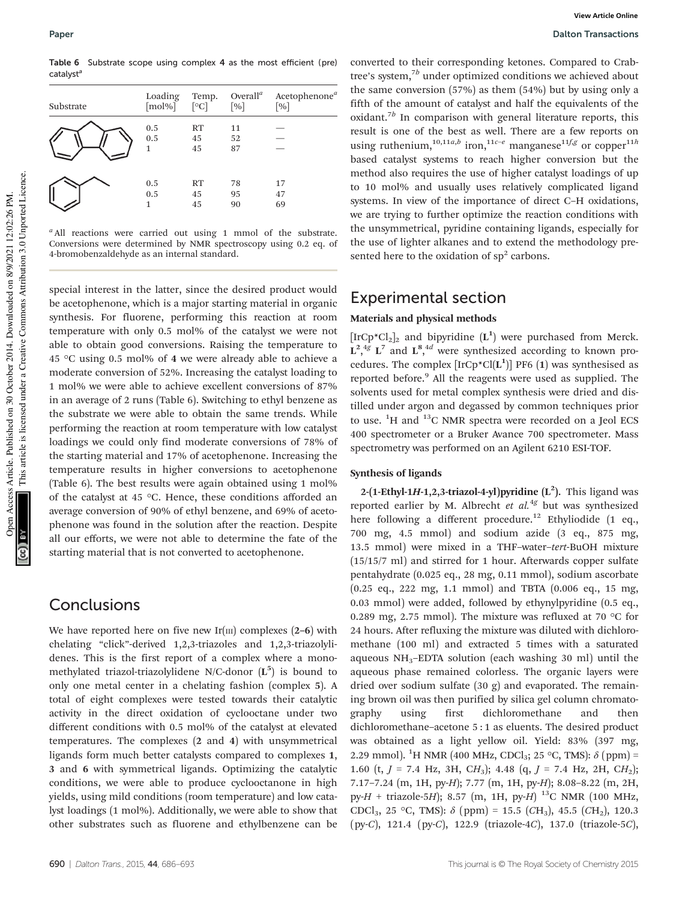Table 6 Substrate scope using complex 4 as the most efficient (pre) catalyst<sup>a</sup>

| Substrate | Loading         | Temp.                   | Overall <sup><math>a</math></sup> | Acetophenone <sup>a</sup> |
|-----------|-----------------|-------------------------|-----------------------------------|---------------------------|
|           | [mol%]          | $\lceil \circ C \rceil$ | $\lceil \frac{9}{6} \rceil$       | $\lceil \% \rceil$        |
|           | 0.5<br>0.5<br>1 | RT<br>45<br>45          | 11<br>52<br>87                    |                           |
|           | 0.5             | RT                      | 78                                | 17                        |
|           | 0.5             | 45                      | 95                                | 47                        |
|           | $\mathbf{1}$    | 45                      | 90                                | 69                        |

<sup>a</sup> All reactions were carried out using 1 mmol of the substrate. Conversions were determined by NMR spectroscopy using 0.2 eq. of 4-bromobenzaldehyde as an internal standard.

special interest in the latter, since the desired product would be acetophenone, which is a major starting material in organic synthesis. For fluorene, performing this reaction at room temperature with only 0.5 mol% of the catalyst we were not able to obtain good conversions. Raising the temperature to 45 °C using 0.5 mol% of 4 we were already able to achieve a moderate conversion of 52%. Increasing the catalyst loading to 1 mol% we were able to achieve excellent conversions of 87% in an average of 2 runs (Table 6). Switching to ethyl benzene as the substrate we were able to obtain the same trends. While performing the reaction at room temperature with low catalyst loadings we could only find moderate conversions of 78% of the starting material and 17% of acetophenone. Increasing the temperature results in higher conversions to acetophenone (Table 6). The best results were again obtained using 1 mol% of the catalyst at 45 °C. Hence, these conditions afforded an average conversion of 90% of ethyl benzene, and 69% of acetophenone was found in the solution after the reaction. Despite all our efforts, we were not able to determine the fate of the starting material that is not converted to acetophenone.

## **Conclusions**

We have reported here on five new Ir( $\text{III}$ ) complexes (2–6) with chelating "click"-derived 1,2,3-triazoles and 1,2,3-triazolylidenes. This is the first report of a complex where a monomethylated triazol-triazolylidene N/C-donor  $(L^5)$  is bound to only one metal center in a chelating fashion (complex 5). A total of eight complexes were tested towards their catalytic activity in the direct oxidation of cyclooctane under two different conditions with 0.5 mol% of the catalyst at elevated temperatures. The complexes (2 and 4) with unsymmetrical ligands form much better catalysts compared to complexes 1, 3 and 6 with symmetrical ligands. Optimizing the catalytic conditions, we were able to produce cyclooctanone in high yields, using mild conditions (room temperature) and low catalyst loadings (1 mol%). Additionally, we were able to show that other substrates such as fluorene and ethylbenzene can be converted to their corresponding ketones. Compared to Crabtree's system,<sup>7b</sup> under optimized conditions we achieved about the same conversion (57%) as them (54%) but by using only a fifth of the amount of catalyst and half the equivalents of the oxidant.<sup>7b</sup> In comparison with general literature reports, this result is one of the best as well. There are a few reports on using ruthenium,<sup>10,11a,b</sup> iron,<sup>11c-e</sup> manganese<sup>11f,g</sup> or copper<sup>11h</sup> based catalyst systems to reach higher conversion but the method also requires the use of higher catalyst loadings of up to 10 mol% and usually uses relatively complicated ligand systems. In view of the importance of direct C–H oxidations, we are trying to further optimize the reaction conditions with the unsymmetrical, pyridine containing ligands, especially for the use of lighter alkanes and to extend the methodology presented here to the oxidation of  $sp<sup>2</sup>$  carbons.

# Experimental section

#### Materials and physical methods

 $[\text{IrCp*Cl}_2]_2$  and bipyridine  $(\mathbf{L}^1)$  were purchased from Merck.  $L^{2,4g}$   $L^{7}$  and  $L^{8,4d}$  were synthesized according to known procedures. The complex  $[IrCp*CI(L^1)]$  PF6 (1) was synthesised as reported before.<sup>9</sup> All the reagents were used as supplied. The solvents used for metal complex synthesis were dried and distilled under argon and degassed by common techniques prior to use.  ${}^{1}H$  and  ${}^{13}C$  NMR spectra were recorded on a Jeol ECS 400 spectrometer or a Bruker Avance 700 spectrometer. Mass spectrometry was performed on an Agilent 6210 ESI-TOF.

#### Synthesis of ligands

2-(1-Ethyl-1H-1,2,3-triazol-4-yl)pyridine  $(L^2)$ . This ligand was reported earlier by M. Albrecht et  $al.^{4g}$  but was synthesized here following a different procedure.<sup>12</sup> Ethyliodide (1 eq., 700 mg, 4.5 mmol) and sodium azide (3 eq., 875 mg, 13.5 mmol) were mixed in a THF–water–tert-BuOH mixture (15/15/7 ml) and stirred for 1 hour. Afterwards copper sulfate pentahydrate (0.025 eq., 28 mg, 0.11 mmol), sodium ascorbate (0.25 eq., 222 mg, 1.1 mmol) and TBTA (0.006 eq., 15 mg, 0.03 mmol) were added, followed by ethynylpyridine (0.5 eq., 0.289 mg, 2.75 mmol). The mixture was refluxed at 70  $\,^{\circ}$ C for 24 hours. After refluxing the mixture was diluted with dichloromethane (100 ml) and extracted 5 times with a saturated aqueous NH3–EDTA solution (each washing 30 ml) until the aqueous phase remained colorless. The organic layers were dried over sodium sulfate (30 g) and evaporated. The remaining brown oil was then purified by silica gel column chromatography using first dichloromethane and then dichloromethane–acetone 5 : 1 as eluents. The desired product was obtained as a light yellow oil. Yield: 83% (397 mg, 2.29 mmol). <sup>1</sup>H NMR (400 MHz, CDCl<sub>3</sub>; 25 °C, TMS):  $\delta$  (ppm) = 1.60 (t,  $J = 7.4$  Hz, 3H, CH<sub>3</sub>); 4.48 (q,  $J = 7.4$  Hz, 2H, CH<sub>2</sub>); 7.17–7.24 (m, 1H, py-H); 7.77 (m, 1H, py-H); 8.08–8.22 (m, 2H, py-H + triazole-5H); 8.57 (m, 1H, py-H)  $^{13}$ C NMR (100 MHz, CDCl<sub>3</sub>, 25 °C, TMS):  $\delta$  (ppm) = 15.5 (CH<sub>3</sub>), 45.5 (CH<sub>2</sub>), 120.3 (py-C), 121.4 (py-C), 122.9 (triazole-4C), 137.0 (triazole-5C),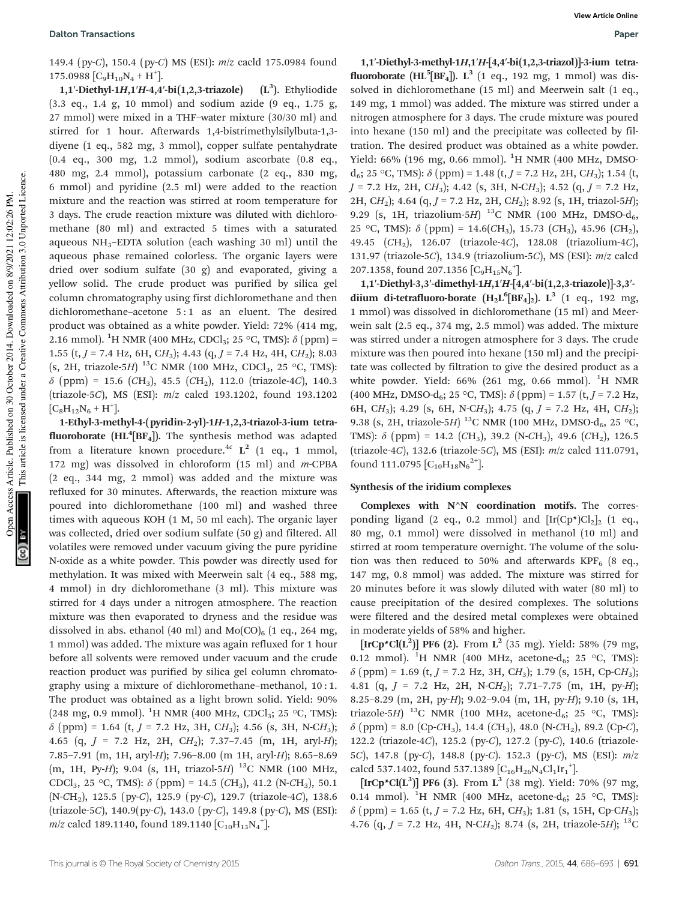149.4 (py-C), 150.4 (py-C) MS (ESI): m/z cacld 175.0984 found  $175.0988\left[\text{C}_9\text{H}_{10}\text{N}_4 + \text{H}^+\right]$ 

1,1'-Diethyl-1H,1'H-4,4'-bi(1,2,3-triazole)  $(L^3)$ . Ethyliodide (3.3 eq., 1.4 g, 10 mmol) and sodium azide (9 eq., 1.75 g, 27 mmol) were mixed in a THF–water mixture (30/30 ml) and stirred for 1 hour. Afterwards 1,4-bistrimethylsilylbuta-1,3 diyene (1 eq., 582 mg, 3 mmol), copper sulfate pentahydrate (0.4 eq., 300 mg, 1.2 mmol), sodium ascorbate (0.8 eq., 480 mg, 2.4 mmol), potassium carbonate (2 eq., 830 mg, 6 mmol) and pyridine (2.5 ml) were added to the reaction mixture and the reaction was stirred at room temperature for 3 days. The crude reaction mixture was diluted with dichloromethane (80 ml) and extracted 5 times with a saturated aqueous  $NH_3$ –EDTA solution (each washing 30 ml) until the aqueous phase remained colorless. The organic layers were dried over sodium sulfate (30 g) and evaporated, giving a yellow solid. The crude product was purified by silica gel column chromatography using first dichloromethane and then dichloromethane–acetone 5:1 as an eluent. The desired product was obtained as a white powder. Yield: 72% (414 mg, 2.16 mmol). <sup>1</sup>H NMR (400 MHz, CDCl<sub>3</sub>; 25 °C, TMS):  $\delta$  (ppm) = 1.55 (t,  $J = 7.4$  Hz, 6H, CH<sub>3</sub>); 4.43 (q,  $J = 7.4$  Hz, 4H, CH<sub>2</sub>); 8.03 (s, 2H, triazole-5H)  $^{13}$ C NMR (100 MHz, CDCl<sub>3</sub>, 25 °C, TMS):  $\delta$  (ppm) = 15.6 (CH<sub>3</sub>), 45.5 (CH<sub>2</sub>), 112.0 (triazole-4C), 140.3 (triazole-5C), MS (ESI): m/z calcd 193.1202, found 193.1202  $[C_8H_{12}N_6 + H^+]$ .

1-Ethyl-3-methyl-4-(pyridin-2-yl)-1H-1,2,3-triazol-3-ium tetra**fluoroborate (HL<sup>4</sup>[BF<sub>4</sub>]).** The synthesis method was adapted from a literature known procedure.<sup>4c</sup>  $L^2$  (1 eq., 1 mmol, 172 mg) was dissolved in chloroform (15 ml) and m-CPBA (2 eq., 344 mg, 2 mmol) was added and the mixture was refluxed for 30 minutes. Afterwards, the reaction mixture was poured into dichloromethane (100 ml) and washed three times with aqueous KOH (1 M, 50 ml each). The organic layer was collected, dried over sodium sulfate (50 g) and filtered. All volatiles were removed under vacuum giving the pure pyridine N-oxide as a white powder. This powder was directly used for methylation. It was mixed with Meerwein salt (4 eq., 588 mg, 4 mmol) in dry dichloromethane (3 ml). This mixture was stirred for 4 days under a nitrogen atmosphere. The reaction mixture was then evaporated to dryness and the residue was dissolved in abs. ethanol (40 ml) and  $Mo(CO)_{6}$  (1 eq., 264 mg, 1 mmol) was added. The mixture was again refluxed for 1 hour before all solvents were removed under vacuum and the crude reaction product was purified by silica gel column chromatography using a mixture of dichloromethane–methanol, 10 : 1. The product was obtained as a light brown solid. Yield: 90% (248 mg, 0.9 mmol). <sup>1</sup>H NMR (400 MHz, CDCl<sub>3</sub>; 25 °C, TMS):  $\delta$  (ppm) = 1.64 (t, J = 7.2 Hz, 3H, CH<sub>3</sub>); 4.56 (s, 3H, N-CH<sub>3</sub>); 4.65 (q,  $J = 7.2$  Hz,  $2H$ ,  $CH<sub>2</sub>$ ); 7.37-7.45 (m, 1H, aryl-H); 7.85–7.91 (m, 1H, aryl-H); 7.96–8.00 (m 1H, aryl-H); 8.65–8.69 (m, 1H, Py-H); 9.04 (s, 1H, triazol-5H) <sup>13</sup>C NMR (100 MHz, CDCl<sub>3</sub>, 25 °C, TMS):  $\delta$  (ppm) = 14.5 (CH<sub>3</sub>), 41.2 (N-CH<sub>3</sub>), 50.1 (N-CH2), 125.5 (py-C), 125.9 (py-C), 129.7 (triazole-4C), 138.6 (triazole-5C), 140.9(py-C), 143.0 (py-C), 149.8 (py-C), MS (ESI): *m*/z calcd 189.1140, found 189.1140 [C $_{10}$ H $_{13}$ N $_4^+$ ].

1,1′-Diethyl-3-methyl-1H,1′H-[4,4′-bi(1,2,3-triazol)]-3-ium tetrafluoroborate ( $HL^5[BF_4]$ ).  $L^3$  (1 eq., 192 mg, 1 mmol) was dissolved in dichloromethane (15 ml) and Meerwein salt (1 eq., 149 mg, 1 mmol) was added. The mixture was stirred under a nitrogen atmosphere for 3 days. The crude mixture was poured into hexane (150 ml) and the precipitate was collected by filtration. The desired product was obtained as a white powder. Yield: 66% (196 mg, 0.66 mmol). <sup>1</sup>H NMR (400 MHz, DMSOd<sub>6</sub>; 25 °C, TMS):  $\delta$  (ppm) = 1.48 (t, J = 7.2 Hz, 2H, CH<sub>3</sub>); 1.54 (t,  $J = 7.2$  Hz, 2H, CH<sub>3</sub>); 4.42 (s, 3H, N-CH<sub>3</sub>); 4.52 (q,  $J = 7.2$  Hz, 2H, CH<sub>2</sub>); 4.64 (q, J = 7.2 Hz, 2H, CH<sub>2</sub>); 8.92 (s, 1H, triazol-5H); 9.29 (s, 1H, triazolium-5H)  $^{13}$ C NMR (100 MHz, DMSO- $d_{6}$ , 25 °C, TMS):  $\delta$  (ppm) = 14.6(CH<sub>3</sub>), 15.73 (CH<sub>3</sub>), 45.96 (CH<sub>2</sub>), 49.45 (CH2), 126.07 (triazole-4C), 128.08 (triazolium-4C), 131.97 (triazole-5C), 134.9 (triazolium-5C), MS (ESI): m/z calcd 207.1358, found 207.1356  $[C_9H_{15}N_6^+]$ .

1,1′-Diethyl-3,3′-dimethyl-1H,1′H-[4,4′-bi(1,2,3-triazole)]-3,3′ diium di-tetrafluoro-borate  $(H_2L^6[BF_4]_2)$ .  $L^3$  (1 eq., 192 mg, 1 mmol) was dissolved in dichloromethane (15 ml) and Meerwein salt (2.5 eq., 374 mg, 2.5 mmol) was added. The mixture was stirred under a nitrogen atmosphere for 3 days. The crude mixture was then poured into hexane (150 ml) and the precipitate was collected by filtration to give the desired product as a white powder. Yield:  $66\%$  (261 mg, 0.66 mmol). <sup>1</sup>H NMR (400 MHz, DMSO-d<sub>6</sub>; 25 °C, TMS):  $\delta$  (ppm) = 1.57 (t, J = 7.2 Hz, 6H, CH<sub>3</sub>); 4.29 (s, 6H, N-CH<sub>3</sub>); 4.75 (q,  $J = 7.2$  Hz, 4H, CH<sub>2</sub>); 9.38 (s, 2H, triazole-5H) <sup>13</sup>C NMR (100 MHz, DMSO-d<sub>6</sub>, 25 °C, TMS):  $\delta$  (ppm) = 14.2 (CH<sub>3</sub>), 39.2 (N-CH<sub>3</sub>), 49.6 (CH<sub>2</sub>), 126.5 (triazole-4C), 132.6 (triazole-5C), MS (ESI): m/z calcd 111.0791, found 111.0795  $\left[C_{10}H_{18}N_6^{2^+}\right]$ .

#### Synthesis of the iridium complexes

Complexes with N<sup>^</sup>N coordination motifs. The corresponding ligand (2 eq., 0.2 mmol) and  $[\text{Ir}(Cp*)Cl_2]_2$  (1 eq., 80 mg, 0.1 mmol) were dissolved in methanol (10 ml) and stirred at room temperature overnight. The volume of the solution was then reduced to 50% and afterwards KPF $_6$  (8 eq., 147 mg, 0.8 mmol) was added. The mixture was stirred for 20 minutes before it was slowly diluted with water (80 ml) to cause precipitation of the desired complexes. The solutions were filtered and the desired metal complexes were obtained in moderate yields of 58% and higher.

 $[\text{IrCp*Cl}(L^2)]$  PF6 (2). From  $L^2$  (35 mg). Yield: 58% (79 mg, 0.12 mmol). <sup>1</sup>H NMR (400 MHz, acetone-d<sub>6</sub>; 25 °C, TMS):  $\delta$  (ppm) = 1.69 (t, J = 7.2 Hz, 3H, CH<sub>3</sub>); 1.79 (s, 15H, Cp-CH<sub>3</sub>); 4.81 (q,  $J = 7.2$  Hz,  $2H$ , N-CH<sub>2</sub>); 7.71-7.75 (m, 1H, py-H); 8.25–8.29 (m, 2H, py-H); 9.02–9.04 (m, 1H, py-H); 9.10 (s, 1H, triazole-5H) <sup>13</sup>C NMR (100 MHz, acetone-d<sub>6</sub>; 25 °C, TMS):  $\delta$  (ppm) = 8.0 (Cp-CH<sub>3</sub>), 14.4 (CH<sub>3</sub>), 48.0 (N-CH<sub>2</sub>), 89.2 (Cp-C), 122.2 (triazole-4C), 125.2 (py-C), 127.2 (py-C), 140.6 (triazole-5C), 147.8 (py-C), 148.8 (py-C). 152.3 (py-C), MS (ESI): m/z calcd 537.1402, found 537.1389  $[C_{16}H_{26}N_4Cl_1Ir_1^+]$ .

 $[\text{IrCp*Cl}(L^3)]$  PF6 (3). From  $L^3$  (38 mg). Yield: 70% (97 mg, 0.14 mmol). <sup>1</sup>H NMR (400 MHz, acetone-d<sub>6</sub>; 25 °C, TMS):  $\delta$  (ppm) = 1.65 (t, J = 7.2 Hz, 6H, CH<sub>3</sub>); 1.81 (s, 15H, Cp-CH<sub>3</sub>); 4.76 (q,  $J = 7.2$  Hz, 4H, N-CH<sub>2</sub>); 8.74 (s, 2H, triazole-5H); <sup>13</sup>C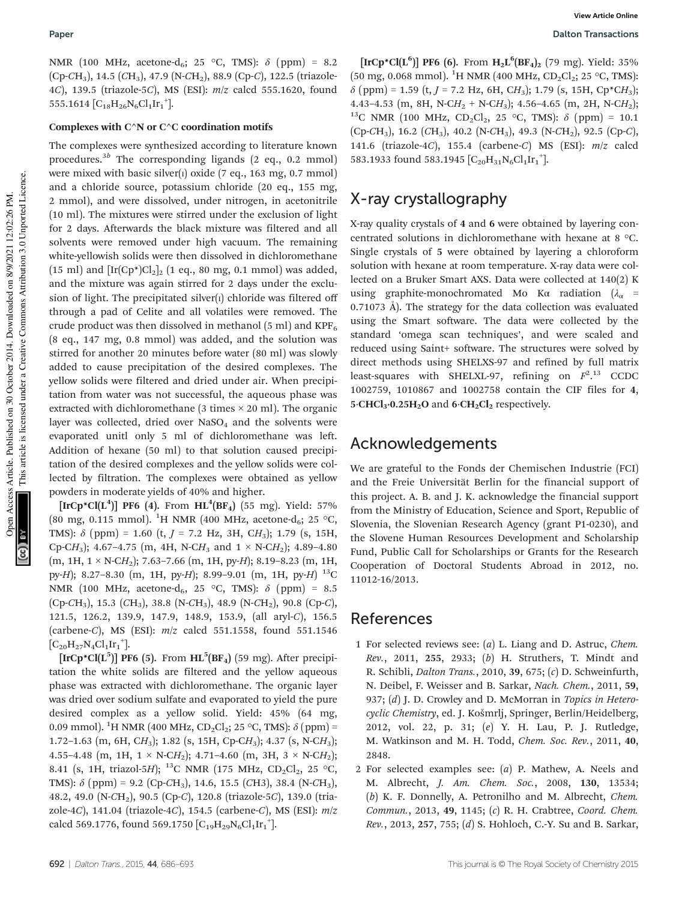NMR (100 MHz, acetone-d<sub>6</sub>; 25 °C, TMS):  $\delta$  (ppm) = 8.2  $(Cp-CH<sub>3</sub>)$ , 14.5  $(CH<sub>3</sub>)$ , 47.9 (N-CH<sub>2</sub>), 88.9 (Cp-C), 122.5 (triazole-4C), 139.5 (triazole-5C), MS (ESI): m/z calcd 555.1620, found 555.1614  $[C_{18}H_{26}N_6Cl_1Ir_1^+]$ .

#### Complexes with  $C^{\wedge}N$  or  $C^{\wedge}C$  coordination motifs

The complexes were synthesized according to literature known procedures.<sup>3b</sup> The corresponding ligands (2 eq., 0.2 mmol) were mixed with basic silver $(i)$  oxide (7 eq., 163 mg, 0.7 mmol) and a chloride source, potassium chloride (20 eq., 155 mg, 2 mmol), and were dissolved, under nitrogen, in acetonitrile (10 ml). The mixtures were stirred under the exclusion of light for 2 days. Afterwards the black mixture was filtered and all solvents were removed under high vacuum. The remaining white-yellowish solids were then dissolved in dichloromethane (15 ml) and  $[\text{Ir}(Cp^*)Cl_2]_2$  (1 eq., 80 mg, 0.1 mmol) was added, and the mixture was again stirred for 2 days under the exclusion of light. The precipitated silver $(i)$  chloride was filtered off through a pad of Celite and all volatiles were removed. The crude product was then dissolved in methanol (5 ml) and  $KPF_6$ (8 eq., 147 mg, 0.8 mmol) was added, and the solution was stirred for another 20 minutes before water (80 ml) was slowly added to cause precipitation of the desired complexes. The yellow solids were filtered and dried under air. When precipitation from water was not successful, the aqueous phase was extracted with dichloromethane (3 times  $\times$  20 ml). The organic layer was collected, dried over NaSO<sub>4</sub> and the solvents were evaporated unitl only 5 ml of dichloromethane was left. Addition of hexane (50 ml) to that solution caused precipitation of the desired complexes and the yellow solids were collected by filtration. The complexes were obtained as yellow powders in moderate yields of 40% and higher.

 $[\mathrm{IrCp}^{\star}\mathrm{Cl}(\mathrm{L}^{4})]$  PF6 (4). From  $\mathrm{HL}^4(\mathrm{BF_4})$  (55 mg). Yield: 57% (80 mg, 0.115 mmol). <sup>1</sup>H NMR (400 MHz, acetone-d<sub>6</sub>; 25 °C, TMS):  $\delta$  (ppm) = 1.60 (t, J = 7.2 Hz, 3H, CH<sub>3</sub>); 1.79 (s, 15H, Cp-CH<sub>3</sub>); 4.67-4.75 (m, 4H, N-CH<sub>3</sub> and  $1 \times$  N-CH<sub>2</sub>); 4.89-4.80  $(m, 1H, 1 \times N\text{-}CH_2); 7.63-7.66 (m, 1H, py-H); 8.19-8.23 (m, 1H,$ py-H); 8.27-8.30 (m, 1H, py-H); 8.99-9.01 (m, 1H, py-H) <sup>13</sup>C NMR (100 MHz, acetone-d<sub>6</sub>, 25 °C, TMS):  $\delta$  (ppm) = 8.5  $(Cp-CH<sub>3</sub>)$ , 15.3  $(CH<sub>3</sub>)$ , 38.8  $(N-CH<sub>3</sub>)$ , 48.9  $(N-CH<sub>2</sub>)$ , 90.8  $(Cp-C)$ , 121.5, 126.2, 139.9, 147.9, 148.9, 153.9, (all aryl-C), 156.5 (carbene-C), MS (ESI):  $m/z$  calcd 551.1558, found 551.1546  $[C_{20}H_{27}N_4Cl_1Ir_1^+]$ .

 $[\text{IrCp*Cl}(L^5)]$  PF6 (5). From  $\text{HL}^5(\text{BF}_4)$  (59 mg). After precipitation the white solids are filtered and the yellow aqueous phase was extracted with dichloromethane. The organic layer was dried over sodium sulfate and evaporated to yield the pure desired complex as a yellow solid. Yield: 45% (64 mg, 0.09 mmol). <sup>1</sup>H NMR (400 MHz,  $CD_2Cl_2$ ; 25 °C, TMS):  $\delta$  (ppm) = 1.72–1.63 (m, 6H, CH3); 1.82 (s, 15H, Cp-CH3); 4.37 (s, N-CH3); 4.55–4.48 (m, 1H,  $1 \times N\text{-}CH_2$ ); 4.71–4.60 (m, 3H,  $3 \times N\text{-}CH_2$ ); 8.41 (s, 1H, triazol-5H); <sup>13</sup>C NMR (175 MHz, CD<sub>2</sub>Cl<sub>2</sub>, 25 °C, TMS):  $\delta$  (ppm) = 9.2 (Cp-CH<sub>3</sub>), 14.6, 15.5 (CH3), 38.4 (N-CH<sub>3</sub>), 48.2, 49.0 (N-CH2), 90.5 (Cp-C), 120.8 (triazole-5C), 139.0 (triazole-4C), 141.04 (triazole-4C), 154.5 (carbene-C), MS (ESI):  $m/z$ calcd 569.1776, found 569.1750  $[C_{19}H_{29}N_6Cl_1Ir_1^+]$ .

 $[\text{IrCp*Cl}(L^6)]$  PF6 (6). From  $H_2L^6(BF_4)_2$  (79 mg). Yield: 35%  $(50 \text{ mg}, 0.068 \text{ mmol})$ . <sup>1</sup>H NMR (400 MHz, CD<sub>2</sub>Cl<sub>2</sub>; 25 °C, TMS):  $\delta$  (ppm) = 1.59 (t, J = 7.2 Hz, 6H, CH<sub>3</sub>); 1.79 (s, 15H, Cp\*CH<sub>3</sub>); 4.43–4.53 (m, 8H, N-C $H_2$  + N-C $H_3$ ); 4.56–4.65 (m, 2H, N-C $H_2$ ); <sup>13</sup>C NMR (100 MHz, CD<sub>2</sub>Cl<sub>2</sub>, 25 °C, TMS):  $\delta$  (ppm) = 10.1  $(Cp-CH<sub>3</sub>)$ , 16.2  $(CH<sub>3</sub>)$ , 40.2  $(N-CH<sub>3</sub>)$ , 49.3  $(N-CH<sub>2</sub>)$ , 92.5  $(Cp-C)$ , 141.6 (triazole-4C), 155.4 (carbene-C) MS (ESI): m/z calcd 583.1933 found 583.1945  $[C_{20}H_{31}N_{6}Cl_{1}Ir_{1}^{+}]$ .

# X-ray crystallography

X-ray quality crystals of 4 and 6 were obtained by layering concentrated solutions in dichloromethane with hexane at 8 °C. Single crystals of 5 were obtained by layering a chloroform solution with hexane at room temperature. X-ray data were collected on a Bruker Smart AXS. Data were collected at 140(2) K using graphite-monochromated Mo Kα radiation  $(\lambda_{\alpha}$  = 0.71073 Å). The strategy for the data collection was evaluated using the Smart software. The data were collected by the standard 'omega scan techniques', and were scaled and reduced using Saint+ software. The structures were solved by direct methods using SHELXS-97 and refined by full matrix least-squares with SHELXL-97, refining on  $F^2$ .<sup>13</sup> CCDC 1002759, 1010867 and 1002758 contain the CIF files for 4,  $5 \cdot CHCl<sub>3</sub> \cdot 0.25H<sub>2</sub>O$  and  $6 \cdot CH<sub>2</sub>Cl<sub>2</sub>$  respectively.

## Acknowledgements

We are grateful to the Fonds der Chemischen Industrie (FCI) and the Freie Universität Berlin for the financial support of this project. A. B. and J. K. acknowledge the financial support from the Ministry of Education, Science and Sport, Republic of Slovenia, the Slovenian Research Agency (grant P1-0230), and the Slovene Human Resources Development and Scholarship Fund, Public Call for Scholarships or Grants for the Research Cooperation of Doctoral Students Abroad in 2012, no. 11012-16/2013.

### References

- 1 For selected reviews see: (a) L. Liang and D. Astruc, Chem. Rev., 2011, 255, 2933; (b) H. Struthers, T. Mindt and R. Schibli, Dalton Trans., 2010, 39, 675; (c) D. Schweinfurth, N. Deibel, F. Weisser and B. Sarkar, Nach. Chem., 2011, 59, 937; (d) J. D. Crowley and D. McMorran in Topics in Heterocyclic Chemistry, ed. J. Košmrlj, Springer, Berlin/Heidelberg, 2012, vol. 22, p. 31; (e) Y. H. Lau, P. J. Rutledge, M. Watkinson and M. H. Todd, Chem. Soc. Rev., 2011, 40, 2848.
- 2 For selected examples see: (a) P. Mathew, A. Neels and M. Albrecht, J. Am. Chem. Soc., 2008, 130, 13534; (b) K. F. Donnelly, A. Petronilho and M. Albrecht, Chem. Commun., 2013, 49, 1145; (c) R. H. Crabtree, Coord. Chem. Rev., 2013, 257, 755; (d) S. Hohloch, C.-Y. Su and B. Sarkar,

This article is licensed under a Creative Commons Attribution 3.0 Unported Licence.